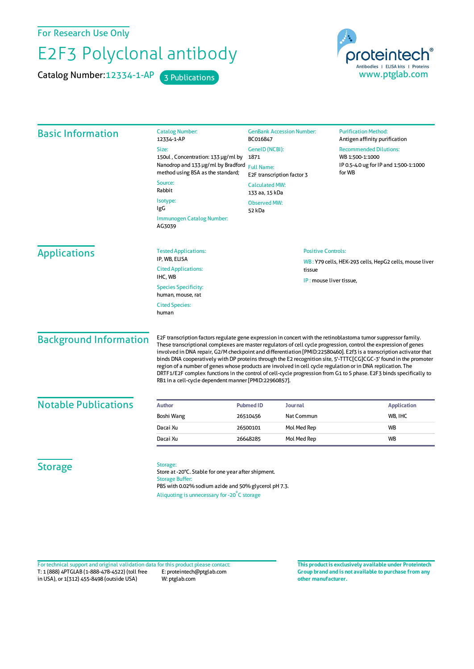For Research Use Only

## E2F3 Polyclonal antibody

Catalog Number: 12334-1-AP 3 Publications



| <b>Basic Information</b>      | <b>Catalog Number:</b><br>12334-1-AP                                                                                                                                                                                                                                                                                                                                                                                                                                                                                                                                                                                                                                                                                                                                          | <b>GenBank Accession Number:</b><br>BC016847<br>GeneID (NCBI):<br>1871<br>Nanodrop and 133 µg/ml by Bradford<br><b>Full Name:</b><br>E2F transcription factor 3<br><b>Calculated MW:</b><br>133 aa, 15 kDa<br><b>Observed MW:</b><br>52 kDa |                           | <b>Purification Method:</b><br>Antigen affinity purification                                        |  |
|-------------------------------|-------------------------------------------------------------------------------------------------------------------------------------------------------------------------------------------------------------------------------------------------------------------------------------------------------------------------------------------------------------------------------------------------------------------------------------------------------------------------------------------------------------------------------------------------------------------------------------------------------------------------------------------------------------------------------------------------------------------------------------------------------------------------------|---------------------------------------------------------------------------------------------------------------------------------------------------------------------------------------------------------------------------------------------|---------------------------|-----------------------------------------------------------------------------------------------------|--|
|                               | Size:                                                                                                                                                                                                                                                                                                                                                                                                                                                                                                                                                                                                                                                                                                                                                                         |                                                                                                                                                                                                                                             |                           | <b>Recommended Dilutions:</b><br>WB 1:500-1:1000<br>IP 0.5-4.0 ug for IP and 1:500-1:1000<br>for WB |  |
|                               | 150ul, Concentration: 133 µg/ml by                                                                                                                                                                                                                                                                                                                                                                                                                                                                                                                                                                                                                                                                                                                                            |                                                                                                                                                                                                                                             |                           |                                                                                                     |  |
|                               | method using BSA as the standard;                                                                                                                                                                                                                                                                                                                                                                                                                                                                                                                                                                                                                                                                                                                                             |                                                                                                                                                                                                                                             |                           |                                                                                                     |  |
|                               | Source:<br>Rabbit                                                                                                                                                                                                                                                                                                                                                                                                                                                                                                                                                                                                                                                                                                                                                             |                                                                                                                                                                                                                                             |                           |                                                                                                     |  |
|                               | Isotype:                                                                                                                                                                                                                                                                                                                                                                                                                                                                                                                                                                                                                                                                                                                                                                      |                                                                                                                                                                                                                                             |                           |                                                                                                     |  |
|                               | IgG                                                                                                                                                                                                                                                                                                                                                                                                                                                                                                                                                                                                                                                                                                                                                                           |                                                                                                                                                                                                                                             |                           |                                                                                                     |  |
|                               | <b>Immunogen Catalog Number:</b><br>AG3039                                                                                                                                                                                                                                                                                                                                                                                                                                                                                                                                                                                                                                                                                                                                    |                                                                                                                                                                                                                                             |                           |                                                                                                     |  |
| <b>Applications</b>           | <b>Tested Applications:</b>                                                                                                                                                                                                                                                                                                                                                                                                                                                                                                                                                                                                                                                                                                                                                   |                                                                                                                                                                                                                                             | <b>Positive Controls:</b> |                                                                                                     |  |
|                               | IP, WB, ELISA                                                                                                                                                                                                                                                                                                                                                                                                                                                                                                                                                                                                                                                                                                                                                                 | tissue                                                                                                                                                                                                                                      |                           | WB: Y79 cells, HEK-293 cells, HepG2 cells, mouse liver                                              |  |
|                               | <b>Cited Applications:</b><br>IHC, WB                                                                                                                                                                                                                                                                                                                                                                                                                                                                                                                                                                                                                                                                                                                                         |                                                                                                                                                                                                                                             |                           |                                                                                                     |  |
|                               |                                                                                                                                                                                                                                                                                                                                                                                                                                                                                                                                                                                                                                                                                                                                                                               |                                                                                                                                                                                                                                             | IP: mouse liver tissue,   |                                                                                                     |  |
|                               | <b>Species Specificity:</b><br>human, mouse, rat                                                                                                                                                                                                                                                                                                                                                                                                                                                                                                                                                                                                                                                                                                                              |                                                                                                                                                                                                                                             |                           |                                                                                                     |  |
|                               | <b>Cited Species:</b>                                                                                                                                                                                                                                                                                                                                                                                                                                                                                                                                                                                                                                                                                                                                                         |                                                                                                                                                                                                                                             |                           |                                                                                                     |  |
|                               | human                                                                                                                                                                                                                                                                                                                                                                                                                                                                                                                                                                                                                                                                                                                                                                         |                                                                                                                                                                                                                                             |                           |                                                                                                     |  |
| <b>Background Information</b> | E2F transcription factors regulate gene expression in concert with the retinoblastoma tumor suppressor family.<br>These transcriptional complexes are master regulators of cell cycle progression, control the expression of genes<br>involved in DNA repair, G2/M checkpoint and differentiation [PMID:22580460]. E2f3 is a transcription activator that<br>binds DNA cooperatively with DP proteins through the E2 recognition site, 5'-TTTC[CG]CGC-3' found in the promoter<br>region of a number of genes whose products are involved in cell cycle regulation or in DNA replication. The<br>DRTF1/E2F complex functions in the control of cell-cycle progression from G1 to S phase. E2F3 binds specifically to<br>RB1 in a cell-cycle dependent manner [PMID:22960857]. |                                                                                                                                                                                                                                             |                           |                                                                                                     |  |
| <b>Notable Publications</b>   | <b>Author</b>                                                                                                                                                                                                                                                                                                                                                                                                                                                                                                                                                                                                                                                                                                                                                                 | Journal<br><b>Pubmed ID</b>                                                                                                                                                                                                                 |                           | <b>Application</b>                                                                                  |  |
|                               | Boshi Wang                                                                                                                                                                                                                                                                                                                                                                                                                                                                                                                                                                                                                                                                                                                                                                    | 26510456                                                                                                                                                                                                                                    | Nat Commun                | WB, IHC                                                                                             |  |
|                               | Dacai Xu                                                                                                                                                                                                                                                                                                                                                                                                                                                                                                                                                                                                                                                                                                                                                                      | 26500101                                                                                                                                                                                                                                    | Mol Med Rep               | <b>WB</b>                                                                                           |  |
|                               | Dacai Xu                                                                                                                                                                                                                                                                                                                                                                                                                                                                                                                                                                                                                                                                                                                                                                      | 26648285                                                                                                                                                                                                                                    | Mol Med Rep               | WB                                                                                                  |  |
| <b>Storage</b>                | Storage:<br>Store at -20°C. Stable for one year after shipment.<br><b>Storage Buffer:</b><br>PBS with 0.02% sodium azide and 50% glycerol pH 7.3.                                                                                                                                                                                                                                                                                                                                                                                                                                                                                                                                                                                                                             |                                                                                                                                                                                                                                             |                           |                                                                                                     |  |

T: 1 (888) 4PTGLAB (1-888-478-4522) (toll free in USA), or 1(312) 455-8498 (outside USA) E: proteintech@ptglab.com W: ptglab.com Fortechnical support and original validation data forthis product please contact: **This productis exclusively available under Proteintech**

**Group brand and is not available to purchase from any other manufacturer.**